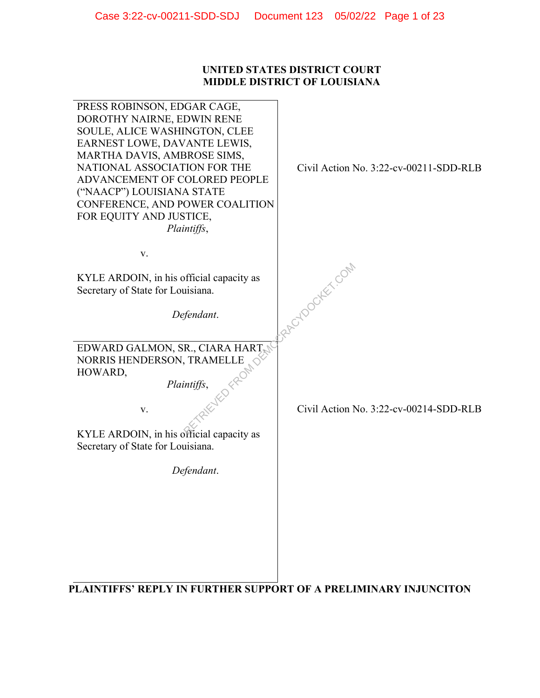## **UNITED STATES DISTRICT COURT MIDDLE DISTRICT OF LOUISIANA**

| PRESS ROBINSON, EDGAR CAGE,<br>DOROTHY NAIRNE, EDWIN RENE<br>SOULE, ALICE WASHINGTON, CLEE<br>EARNEST LOWE, DAVANTE LEWIS,<br>MARTHA DAVIS, AMBROSE SIMS,<br>NATIONAL ASSOCIATION FOR THE<br>ADVANCEMENT OF COLORED PEOPLE<br>("NAACP") LOUISIANA STATE<br>CONFERENCE, AND POWER COALITION<br>FOR EQUITY AND JUSTICE,<br>Plaintiffs, | Civil Action No. 3:22-cv-00211-SDD-RLB |
|--------------------------------------------------------------------------------------------------------------------------------------------------------------------------------------------------------------------------------------------------------------------------------------------------------------------------------------|----------------------------------------|
| V.                                                                                                                                                                                                                                                                                                                                   |                                        |
| KYLE ARDOIN, in his official capacity as<br>Secretary of State for Louisiana.                                                                                                                                                                                                                                                        | RACYDOCKEY.COM                         |
| Defendant.                                                                                                                                                                                                                                                                                                                           |                                        |
| EDWARD GALMON, SR., CIARA HART,<br>NORRIS HENDERSON, TRAMELLE<br>with the country<br>HOWARD,<br>Plaintiffs,<br>V.<br>KYLE ARDOIN, in his official capacity as<br>Secretary of State for Louisiana.                                                                                                                                   | Civil Action No. 3:22-cv-00214-SDD-RLB |
| Defendant.                                                                                                                                                                                                                                                                                                                           |                                        |
|                                                                                                                                                                                                                                                                                                                                      |                                        |

**PLAINTIFFS' REPLY IN FURTHER SUPPORT OF A PRELIMINARY INJUNCITON**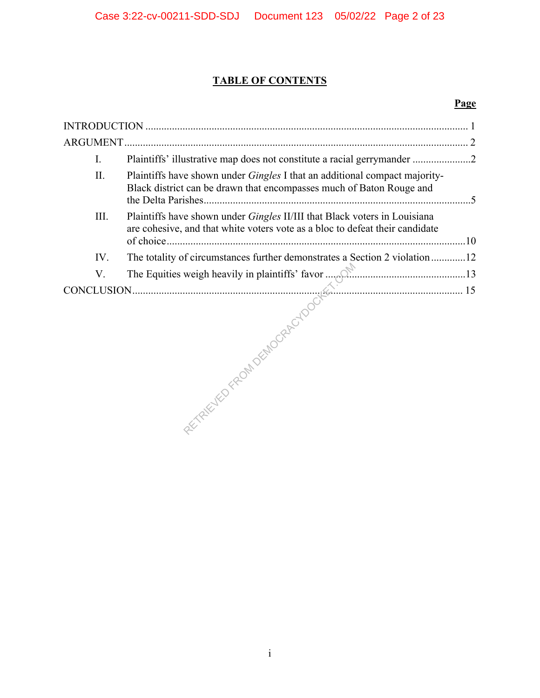# **TABLE OF CONTENTS**

# **Page**

| ARGUMENT. |                                                                                                                                                           |
|-----------|-----------------------------------------------------------------------------------------------------------------------------------------------------------|
| I.        | Plaintiffs' illustrative map does not constitute a racial gerrymander 2                                                                                   |
| II.       | Plaintiffs have shown under <i>Gingles</i> I that an additional compact majority-<br>Black district can be drawn that encompasses much of Baton Rouge and |
| III.      | Plaintiffs have shown under Gingles II/III that Black voters in Louisiana<br>are cohesive, and that white voters vote as a bloc to defeat their candidate |
| IV.       | The totality of circumstances further demonstrates a Section 2 violation 12                                                                               |
| V.        |                                                                                                                                                           |
|           |                                                                                                                                                           |
|           |                                                                                                                                                           |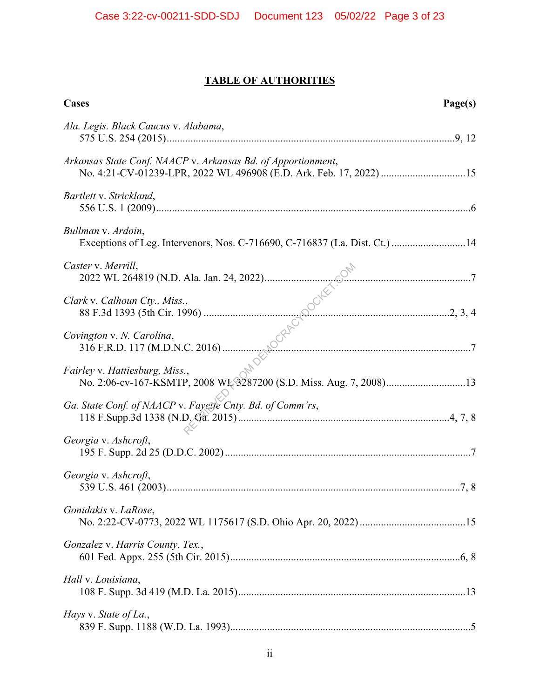# **TABLE OF AUTHORITIES**

| Cases<br>Page(s)                                                                                                                   |  |
|------------------------------------------------------------------------------------------------------------------------------------|--|
| Ala. Legis. Black Caucus v. Alabama,                                                                                               |  |
| Arkansas State Conf. NAACP v. Arkansas Bd. of Apportionment,<br>No. 4:21-CV-01239-LPR, 2022 WL 496908 (E.D. Ark. Feb. 17, 2022) 15 |  |
| Bartlett v. Strickland,                                                                                                            |  |
| Bullman v. Ardoin,<br>Exceptions of Leg. Intervenors, Nos. C-716690, C-716837 (La. Dist. Ct.) 14                                   |  |
| Caster v. Merrill,                                                                                                                 |  |
| Clark v. Calhoun Cty., Miss.,                                                                                                      |  |
| Covington v. N. Carolina,                                                                                                          |  |
| Fairley v. Hattiesburg, Miss.,<br>No. 2:06-cv-167-KSMTP, 2008 WL 3287200 (S.D. Miss. Aug. 7, 2008)13                               |  |
| Ga. State Conf. of NAACP v. Fayette Cnty. Bd. of Comm'rs,                                                                          |  |
| Georgia v. Ashcroft,                                                                                                               |  |
| Georgia v. Ashcroft,                                                                                                               |  |
| Gonidakis v. LaRose,                                                                                                               |  |
| Gonzalez v. Harris County, Tex.,                                                                                                   |  |
| Hall v. Louisiana,                                                                                                                 |  |
| Hays v. State of La.,                                                                                                              |  |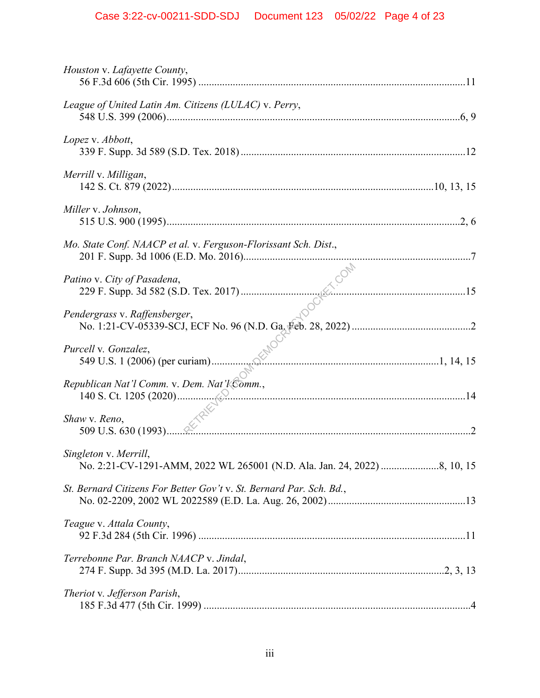| Houston v. Lafayette County,                                        |
|---------------------------------------------------------------------|
| League of United Latin Am. Citizens (LULAC) v. Perry,               |
| Lopez v. Abbott,                                                    |
| Merrill v. Milligan,                                                |
| Miller v. Johnson,                                                  |
| Mo. State Conf. NAACP et al. v. Ferguson-Florissant Sch. Dist.,     |
| Patino v. City of Pasadena,                                         |
| Pendergrass v. Raffensberger,                                       |
| Purcell v. Gonzalez,                                                |
| Republican Nat'l Comm. v. Dem. Nat'l Comm.,                         |
| Shaw v. Reno,                                                       |
| Singleton v. Merrill,                                               |
| St. Bernard Citizens For Better Gov't v. St. Bernard Par. Sch. Bd., |
| Teague v. Attala County,                                            |
| Terrebonne Par. Branch NAACP v. Jindal,                             |
| Theriot v. Jefferson Parish,                                        |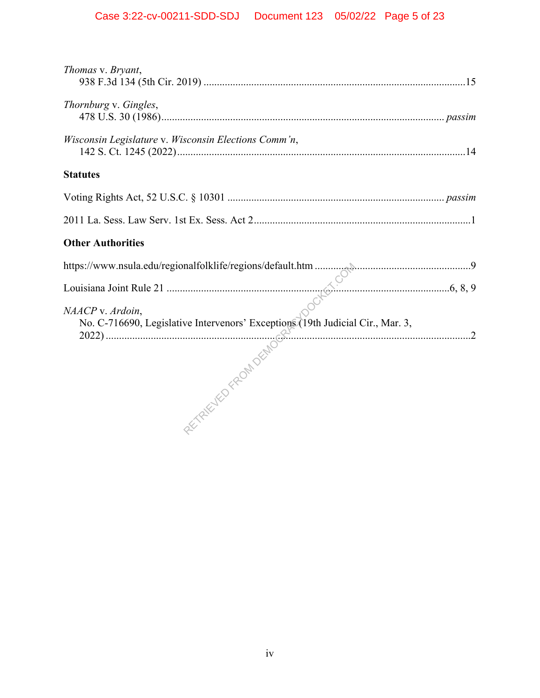| Thomas v. Bryant,                                                                                  |
|----------------------------------------------------------------------------------------------------|
| Thornburg v. Gingles,                                                                              |
| Wisconsin Legislature v. Wisconsin Elections Comm'n,                                               |
| <b>Statutes</b>                                                                                    |
|                                                                                                    |
|                                                                                                    |
| <b>Other Authorities</b>                                                                           |
|                                                                                                    |
|                                                                                                    |
| NAACP v. Ardoin,<br>No. C-716690, Legislative Intervenors' Exceptions (19th Judicial Cir., Mar. 3, |
|                                                                                                    |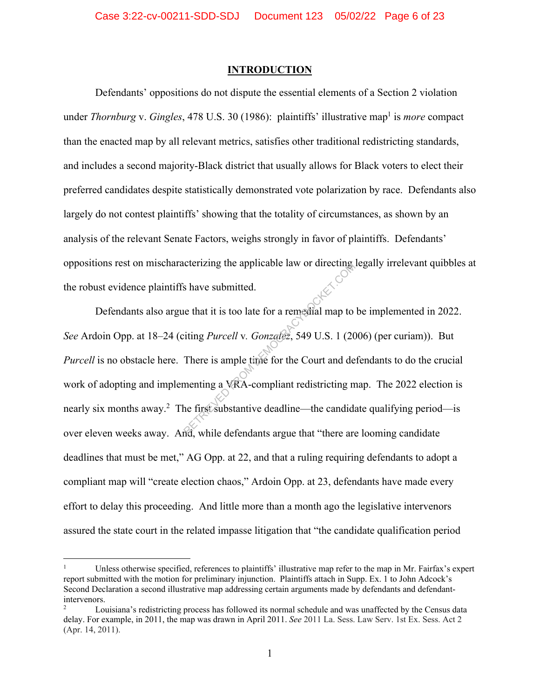#### **INTRODUCTION**

Defendants' oppositions do not dispute the essential elements of a Section 2 violation under *Thornburg* v. *Gingles*, 478 U.S. 30 (1986): plaintiffs' illustrative map<sup>1</sup> is *more* compact than the enacted map by all relevant metrics, satisfies other traditional redistricting standards, and includes a second majority-Black district that usually allows for Black voters to elect their preferred candidates despite statistically demonstrated vote polarization by race. Defendants also largely do not contest plaintiffs' showing that the totality of circumstances, as shown by an analysis of the relevant Senate Factors, weighs strongly in favor of plaintiffs. Defendants' oppositions rest on mischaracterizing the applicable law or directing legally irrelevant quibbles at the robust evidence plaintiffs have submitted.

Defendants also argue that it is too late for a remedial map to be implemented in 2022. *See* Ardoin Opp. at 18–24 (citing *Purcell* v*. Gonzalez*, 549 U.S. 1 (2006) (per curiam)). But *Purcell* is no obstacle here. There is ample time for the Court and defendants to do the crucial work of adopting and implementing a VRA-compliant redistricting map. The 2022 election is nearly six months away.<sup>2</sup> The first substantive deadline—the candidate qualifying period—is over eleven weeks away. And, while defendants argue that "there are looming candidate deadlines that must be met," AG Opp. at 22, and that a ruling requiring defendants to adopt a compliant map will "create election chaos," Ardoin Opp. at 23, defendants have made every effort to delay this proceeding. And little more than a month ago the legislative intervenors assured the state court in the related impasse litigation that "the candidate qualification period Exercising the applicable law or directing<br>is have submitted.<br>Let that it is too late for a remedial map to<br>itting *Purcell* v. Gonzalez, 549 U.S. 1 (20)<br>There is ample time for the Court and de<br>menting a VRA-compliant red

<sup>1</sup> Unless otherwise specified, references to plaintiffs' illustrative map refer to the map in Mr. Fairfax's expert report submitted with the motion for preliminary injunction. Plaintiffs attach in Supp. Ex. 1 to John Adcock's Second Declaration a second illustrative map addressing certain arguments made by defendants and defendantintervenors.

<sup>2</sup> Louisiana's redistricting process has followed its normal schedule and was unaffected by the Census data delay. For example, in 2011, the map was drawn in April 2011. *See* 2011 La. Sess. Law Serv. 1st Ex. Sess. Act 2 (Apr. 14, 2011).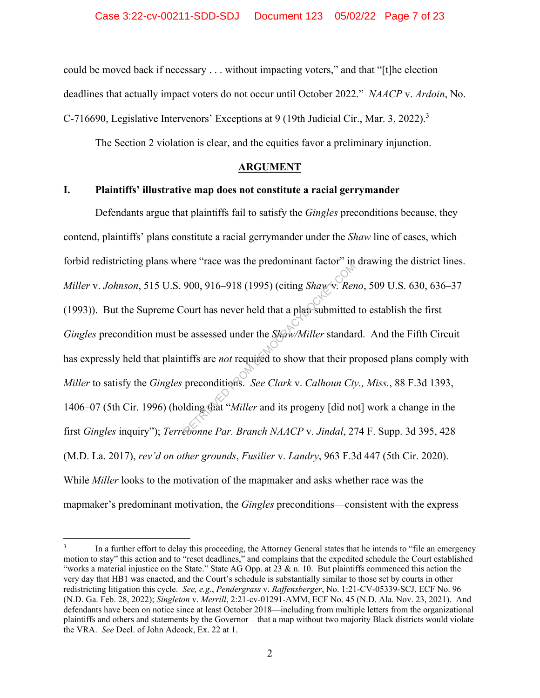could be moved back if necessary . . . without impacting voters," and that "[t]he election deadlines that actually impact voters do not occur until October 2022." *NAACP* v. *Ardoin*, No. C-716690, Legislative Intervenors' Exceptions at 9 (19th Judicial Cir., Mar. 3, 2022).<sup>3</sup>

The Section 2 violation is clear, and the equities favor a preliminary injunction.

## **ARGUMENT**

## **I. Plaintiffs' illustrative map does not constitute a racial gerrymander**

Defendants argue that plaintiffs fail to satisfy the *Gingles* preconditions because, they contend, plaintiffs' plans constitute a racial gerrymander under the *Shaw* line of cases, which forbid redistricting plans where "race was the predominant factor" in drawing the district lines. *Miller* v. *Johnson*, 515 U.S. 900, 916–918 (1995) (citing *Shaw* v*. Reno*, 509 U.S. 630, 636–37 (1993)). But the Supreme Court has never held that a plan submitted to establish the first *Gingles* precondition must be assessed under the *Shaw/Miller* standard. And the Fifth Circuit has expressly held that plaintiffs are *not* required to show that their proposed plans comply with *Miller* to satisfy the *Gingles* preconditions. *See Clark* v. *Calhoun Cty., Miss.*, 88 F.3d 1393, 1406–07 (5th Cir. 1996) (holding that "*Miller* and its progeny [did not] work a change in the first *Gingles* inquiry"); *Terrebonne Par. Branch NAACP* v. *Jindal*, 274 F. Supp. 3d 395, 428 (M.D. La. 2017), *rev'd on other grounds*, *Fusilier* v. *Landry*, 963 F.3d 447 (5th Cir. 2020). While *Miller* looks to the motivation of the mapmaker and asks whether race was the mapmaker's predominant motivation, the *Gingles* preconditions—consistent with the express 900, 916–918 (1995) (citing *Shaw*'s: *Ref*<br>
bourt has never held that a plan submitted<br>
e assessed under the *Shaw/Miller* standar<br>
tiffs are *not* required to show that their pr<br>
preconditions. *See Clark v. Calhoun Cty* 

<sup>3</sup> In a further effort to delay this proceeding, the Attorney General states that he intends to "file an emergency motion to stay" this action and to "reset deadlines," and complains that the expedited schedule the Court established "works a material injustice on the State." State AG Opp. at  $23 \& n. 10$ . But plaintiffs commenced this action the very day that HB1 was enacted, and the Court's schedule is substantially similar to those set by courts in other redistricting litigation this cycle. *See, e.g*., *Pendergrass* v. *Raffensberger*, No. 1:21-CV-05339-SCJ, ECF No. 96 (N.D. Ga. Feb. 28, 2022); *Singleton* v. *Merrill*, 2:21-cv-01291-AMM, ECF No. 45 (N.D. Ala. Nov. 23, 2021). And defendants have been on notice since at least October 2018—including from multiple letters from the organizational plaintiffs and others and statements by the Governor—that a map without two majority Black districts would violate the VRA. *See* Decl. of John Adcock, Ex. 22 at 1.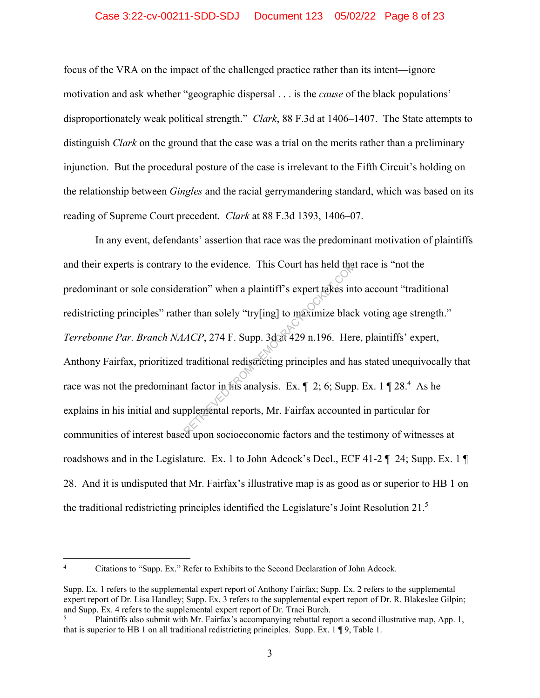## Case 3:22-cv-00211-SDD-SDJ Document 123 05/02/22 Page 8 of 23

focus of the VRA on the impact of the challenged practice rather than its intent—ignore motivation and ask whether "geographic dispersal . . . is the *cause* of the black populations' disproportionately weak political strength." *Clark*, 88 F.3d at 1406–1407. The State attempts to distinguish *Clark* on the ground that the case was a trial on the merits rather than a preliminary injunction. But the procedural posture of the case is irrelevant to the Fifth Circuit's holding on the relationship between *Gingles* and the racial gerrymandering standard, which was based on its reading of Supreme Court precedent. *Clark* at 88 F.3d 1393, 1406–07.

In any event, defendants' assertion that race was the predominant motivation of plaintiffs and their experts is contrary to the evidence. This Court has held that race is "not the predominant or sole consideration" when a plaintiff's expert takes into account "traditional redistricting principles" rather than solely "try[ing] to maximize black voting age strength." *Terrebonne Par. Branch NAACP*, 274 F. Supp. 3d at 429 n.196. Here, plaintiffs' expert, Anthony Fairfax, prioritized traditional redistricting principles and has stated unequivocally that race was not the predominant factor in his analysis. Ex.  $\parallel$  2; 6; Supp. Ex. 1  $\parallel$  28.<sup>4</sup> As he explains in his initial and supplemental reports, Mr. Fairfax accounted in particular for communities of interest based upon socioeconomic factors and the testimony of witnesses at roadshows and in the Legislature. Ex. 1 to John Adcock's Decl., ECF 41-2  $\P$  24; Supp. Ex. 1  $\P$ 28. And it is undisputed that Mr. Fairfax's illustrative map is as good as or superior to HB 1 on the traditional redistricting principles identified the Legislature's Joint Resolution 21. $^5$ to the evidence. This Court has held that<br>ration" when a plaintiff's expert takes int<br>er than solely "try[ing] to maximize black<br> $ACP$ , 274 F. Supp. 3dat 429 n.196. Her<br>traditional redistricting principles and has<br>at factor

<sup>4</sup> Citations to "Supp. Ex." Refer to Exhibits to the Second Declaration of John Adcock.

Supp. Ex. 1 refers to the supplemental expert report of Anthony Fairfax; Supp. Ex. 2 refers to the supplemental expert report of Dr. Lisa Handley; Supp. Ex. 3 refers to the supplemental expert report of Dr. R. Blakeslee Gilpin; and Supp. Ex. 4 refers to the supplemental expert report of Dr. Traci Burch.

Plaintiffs also submit with Mr. Fairfax's accompanying rebuttal report a second illustrative map, App. 1, that is superior to HB 1 on all traditional redistricting principles. Supp. Ex. 1 ¶ 9, Table 1.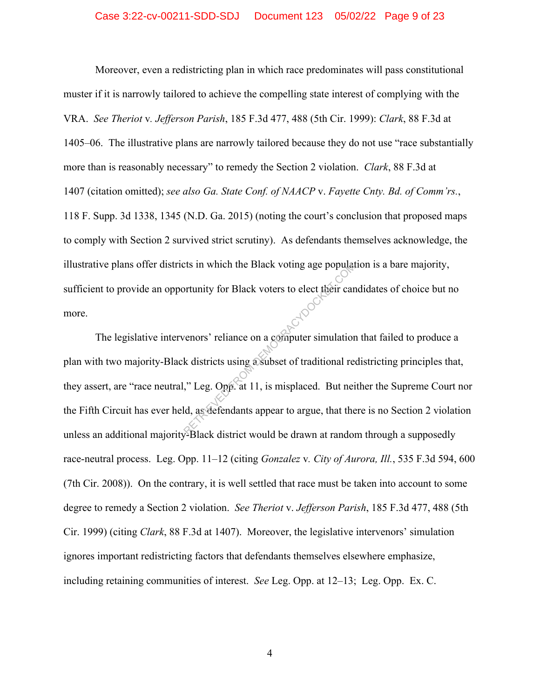Moreover, even a redistricting plan in which race predominates will pass constitutional muster if it is narrowly tailored to achieve the compelling state interest of complying with the VRA. *See Theriot* v*. Jefferson Parish*, 185 F.3d 477, 488 (5th Cir. 1999): *Clark*, 88 F.3d at 1405–06. The illustrative plans are narrowly tailored because they do not use "race substantially more than is reasonably necessary" to remedy the Section 2 violation. *Clark*, 88 F.3d at 1407 (citation omitted); *see also Ga. State Conf. of NAACP* v. *Fayette Cnty. Bd. of Comm'rs.*, 118 F. Supp. 3d 1338, 1345 (N.D. Ga. 2015) (noting the court's conclusion that proposed maps to comply with Section 2 survived strict scrutiny). As defendants themselves acknowledge, the illustrative plans offer districts in which the Black voting age population is a bare majority, sufficient to provide an opportunity for Black voters to elect their candidates of choice but no more.

The legislative intervenors' reliance on a computer simulation that failed to produce a plan with two majority-Black districts using a subset of traditional redistricting principles that, they assert, are "race neutral," Leg. Opp. at 11, is misplaced. But neither the Supreme Court nor the Fifth Circuit has ever held, as defendants appear to argue, that there is no Section 2 violation unless an additional majority-Black district would be drawn at random through a supposedly race-neutral process. Leg. Opp. 11–12 (citing *Gonzalez* v*. City of Aurora, Ill.*, 535 F.3d 594, 600 (7th Cir. 2008)). On the contrary, it is well settled that race must be taken into account to some degree to remedy a Section 2 violation. *See Theriot* v. *Jefferson Parish*, 185 F.3d 477, 488 (5th Cir. 1999) (citing *Clark*, 88 F.3d at 1407). Moreover, the legislative intervenors' simulation ignores important redistricting factors that defendants themselves elsewhere emphasize, including retaining communities of interest. *See* Leg. Opp. at 12–13; Leg. Opp. Ex. C. The Black voting age population<br>ortunity for Black voters to elect their car<br>venors' reliance on a computer simulation<br>k districts using a subset of traditional re<br>x," Leg. Opp. at 11, is misplaced. But nei<br>ld, as defendan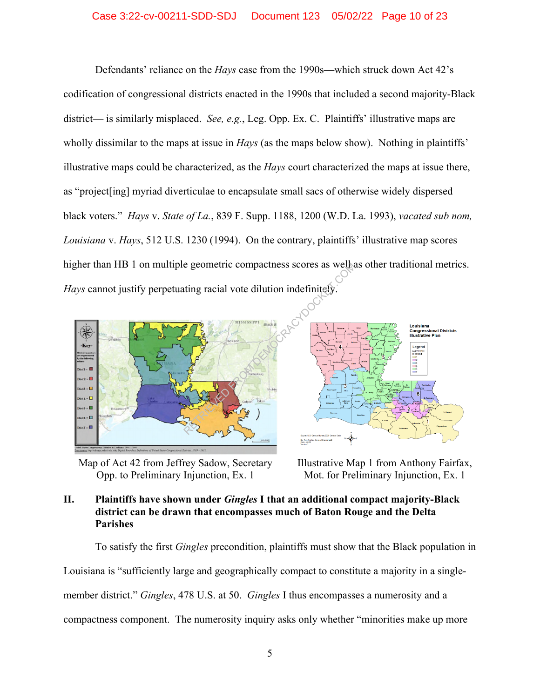### Case 3:22-cv-00211-SDD-SDJ Document 123 05/02/22 Page 10 of 23

Defendants' reliance on the *Hays* case from the 1990s—which struck down Act 42's codification of congressional districts enacted in the 1990s that included a second majority-Black district— is similarly misplaced. *See, e.g.*, Leg. Opp. Ex. C. Plaintiffs' illustrative maps are wholly dissimilar to the maps at issue in *Hays* (as the maps below show). Nothing in plaintiffs' illustrative maps could be characterized, as the *Hays* court characterized the maps at issue there, as "project[ing] myriad diverticulae to encapsulate small sacs of otherwise widely dispersed black voters." *Hays* v. *State of La.*, 839 F. Supp. 1188, 1200 (W.D. La. 1993), *vacated sub nom, Louisiana* v. *Hays*, 512 U.S. 1230 (1994). On the contrary, plaintiffs' illustrative map scores higher than HB 1 on multiple geometric compactness scores as well as other traditional metrics.



Map of Act 42 from Jeffrey Sadow, Secretary Opp. to Preliminary Injunction, Ex. 1

Louisiana<br>Congressional Districts<br>Illustrative Plan Legend<br> **Deatates**<br> **DISTRICT**<br> **CALC**<br> **CALC**<br> **CALC**<br> **CALC** 

Illustrative Map 1 from Anthony Fairfax, Mot. for Preliminary Injunction, Ex. 1

## **II. Plaintiffs have shown under** *Gingles* **I that an additional compact majority-Black district can be drawn that encompasses much of Baton Rouge and the Delta Parishes**

To satisfy the first *Gingles* precondition, plaintiffs must show that the Black population in Louisiana is "sufficiently large and geographically compact to constitute a majority in a singlemember district." *Gingles*, 478 U.S. at 50. *Gingles* I thus encompasses a numerosity and a compactness component. The numerosity inquiry asks only whether "minorities make up more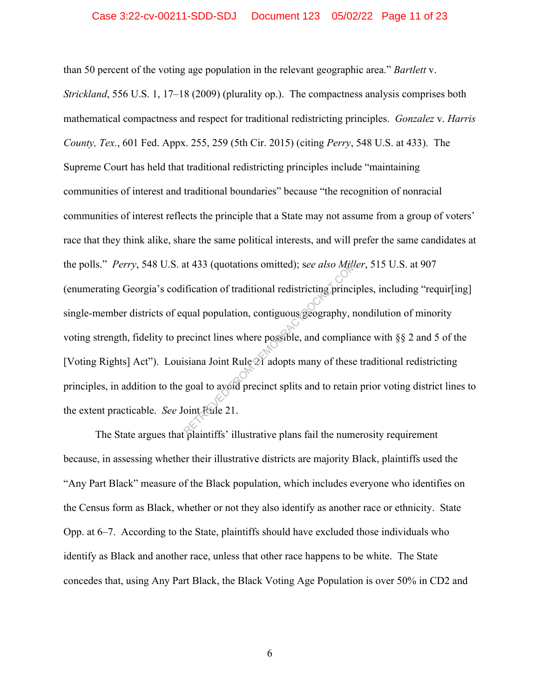#### Case 3:22-cv-00211-SDD-SDJ Document 123 05/02/22 Page 11 of 23

than 50 percent of the voting age population in the relevant geographic area." *Bartlett* v.

*Strickland*, 556 U.S. 1, 17–18 (2009) (plurality op.). The compactness analysis comprises both mathematical compactness and respect for traditional redistricting principles. *Gonzalez* v. *Harris County, Tex.*, 601 Fed. Appx. 255, 259 (5th Cir. 2015) (citing *Perry*, 548 U.S. at 433). The Supreme Court has held that traditional redistricting principles include "maintaining communities of interest and traditional boundaries" because "the recognition of nonracial communities of interest reflects the principle that a State may not assume from a group of voters' race that they think alike, share the same political interests, and will prefer the same candidates at the polls." *Perry*, 548 U.S. at 433 (quotations omitted); s*ee also Miller*, 515 U.S. at 907 (enumerating Georgia's codification of traditional redistricting principles, including "requir[ing] single-member districts of equal population, contiguous geography, nondilution of minority voting strength, fidelity to precinct lines where possible, and compliance with §§ 2 and 5 of the [Voting Rights] Act"). Louisiana Joint Rule 21 adopts many of these traditional redistricting principles, in addition to the goal to avoid precinct splits and to retain prior voting district lines to the extent practicable. *See* Joint Rule 21. at 433 (quotations omitted); see also Mr.<br>
ification of traditional redistricting princi<br>
qual population, contiguous geography, r<br>
recinct lines where possible, and complia<br>
isiana Joint Rule 21 adopts many of these<br>
goal

The State argues that plaintiffs' illustrative plans fail the numerosity requirement because, in assessing whether their illustrative districts are majority Black, plaintiffs used the "Any Part Black" measure of the Black population, which includes everyone who identifies on the Census form as Black, whether or not they also identify as another race or ethnicity. State Opp. at 6–7. According to the State, plaintiffs should have excluded those individuals who identify as Black and another race, unless that other race happens to be white. The State concedes that, using Any Part Black, the Black Voting Age Population is over 50% in CD2 and

6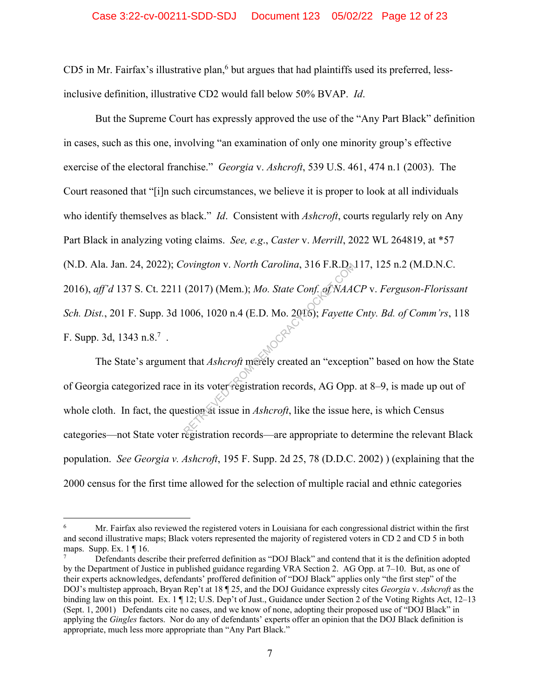CD5 in Mr. Fairfax's illustrative plan,<sup>6</sup> but argues that had plaintiffs used its preferred, lessinclusive definition, illustrative CD2 would fall below 50% BVAP. *Id*.

But the Supreme Court has expressly approved the use of the "Any Part Black" definition in cases, such as this one, involving "an examination of only one minority group's effective exercise of the electoral franchise." *Georgia* v. *Ashcroft*, 539 U.S. 461, 474 n.1 (2003). The Court reasoned that "[i]n such circumstances, we believe it is proper to look at all individuals who identify themselves as black." *Id*. Consistent with *Ashcroft*, courts regularly rely on Any Part Black in analyzing voting claims. *See, e.g*., *Caster* v. *Merrill*, 2022 WL 264819, at \*57 (N.D. Ala. Jan. 24, 2022); *Covington* v. *North Carolina*, 316 F.R.D. 117, 125 n.2 (M.D.N.C. 2016), *aff'd* 137 S. Ct. 2211 (2017) (Mem.); *Mo. State Conf. of NAACP* v. *Ferguson-Florissant Sch. Dist.*, 201 F. Supp. 3d 1006, 1020 n.4 (E.D. Mo. 2016); *Fayette Cnty. Bd. of Comm'rs*, 118 F. Supp. 3d, 1343 n.8. $^7$ . ovington v. North Carolina, 316 F.R.D.<br>(2017) (Mem.); Mo. State Conf. of NAA(<br>006, 1020 n.4 (E.D. Mo. 2016); Fayette<br>t that Ashcroft merely created an "except<br>in its voter registration records, AG Opp.<br>stion at issue in As

The State's argument that *Ashcroft* merely created an "exception" based on how the State of Georgia categorized race in its voter registration records, AG Opp. at 8–9, is made up out of whole cloth. In fact, the question at issue in *Ashcroft*, like the issue here, is which Census categories—not State voter registration records—are appropriate to determine the relevant Black population. *See Georgia v. Ashcroft*, 195 F. Supp. 2d 25, 78 (D.D.C. 2002) ) (explaining that the 2000 census for the first time allowed for the selection of multiple racial and ethnic categories

<sup>6</sup> Mr. Fairfax also reviewed the registered voters in Louisiana for each congressional district within the first and second illustrative maps; Black voters represented the majority of registered voters in CD 2 and CD 5 in both maps. Supp. Ex. 1 ¶ 16.

<sup>7</sup> Defendants describe their preferred definition as "DOJ Black" and contend that it is the definition adopted by the Department of Justice in published guidance regarding VRA Section 2. AG Opp. at 7–10. But, as one of their experts acknowledges, defendants' proffered definition of "DOJ Black" applies only "the first step" of the DOJ's multistep approach, Bryan Rep't at 18 ¶ 25, and the DOJ Guidance expressly cites *Georgia* v. *Ashcroft* as the binding law on this point. Ex. 1 ¶ 12; U.S. Dep't of Just., Guidance under Section 2 of the Voting Rights Act, 12–13 (Sept. 1, 2001) Defendants cite no cases, and we know of none, adopting their proposed use of "DOJ Black" in applying the *Gingles* factors. Nor do any of defendants' experts offer an opinion that the DOJ Black definition is appropriate, much less more appropriate than "Any Part Black."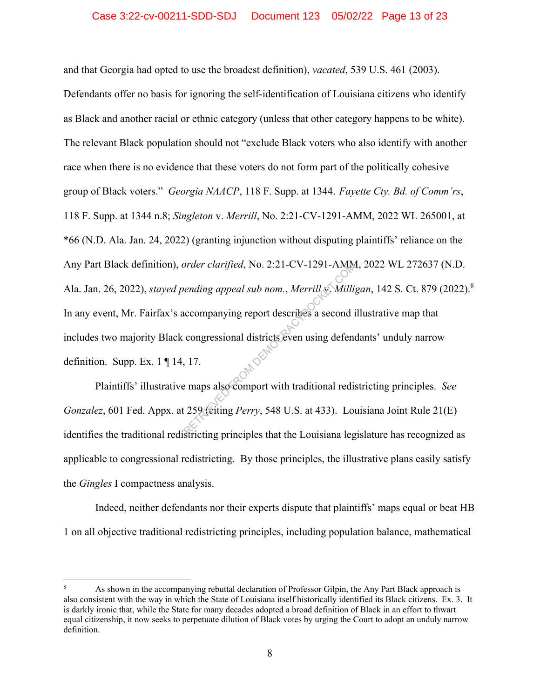and that Georgia had opted to use the broadest definition), *vacated*, 539 U.S. 461 (2003).

Defendants offer no basis for ignoring the self-identification of Louisiana citizens who identify as Black and another racial or ethnic category (unless that other category happens to be white). The relevant Black population should not "exclude Black voters who also identify with another race when there is no evidence that these voters do not form part of the politically cohesive group of Black voters." *Georgia NAACP*, 118 F. Supp. at 1344. *Fayette Cty. Bd. of Comm'rs*, 118 F. Supp. at 1344 n.8; *Singleton* v. *Merrill*, No. 2:21-CV-1291-AMM, 2022 WL 265001, at \*66 (N.D. Ala. Jan. 24, 2022) (granting injunction without disputing plaintiffs' reliance on the Any Part Black definition), *order clarified*, No. 2:21-CV-1291-AMM, 2022 WL 272637 (N.D. Ala. Jan. 26, 2022), *stayed pending appeal sub nom.*, *Merrill* v. *Milligan*, 142 S. Ct. 879 (2022).8 In any event, Mr. Fairfax's accompanying report describes a second illustrative map that includes two majority Black congressional districts even using defendants' unduly narrow definition. Supp. Ex. 1 ¶ 14, 17. order clarified, No. 2:21-CV-1291-AMM<br>
ending appeal sub nom., Merrill v. Milli,<br>
accompanying report describes a second if<br>
congressional districts even using defend<br>
17.<br>
Permane also comport with traditional redistricts

Plaintiffs' illustrative maps also comport with traditional redistricting principles. *See Gonzalez*, 601 Fed. Appx. at 259 (citing *Perry*, 548 U.S. at 433). Louisiana Joint Rule 21(E) identifies the traditional redistricting principles that the Louisiana legislature has recognized as applicable to congressional redistricting. By those principles, the illustrative plans easily satisfy the *Gingles* I compactness analysis.

Indeed, neither defendants nor their experts dispute that plaintiffs' maps equal or beat HB 1 on all objective traditional redistricting principles, including population balance, mathematical

<sup>8</sup> As shown in the accompanying rebuttal declaration of Professor Gilpin, the Any Part Black approach is also consistent with the way in which the State of Louisiana itself historically identified its Black citizens.Ex. 3. It is darkly ironic that, while the State for many decades adopted a broad definition of Black in an effort to thwart equal citizenship, it now seeks to perpetuate dilution of Black votes by urging the Court to adopt an unduly narrow definition.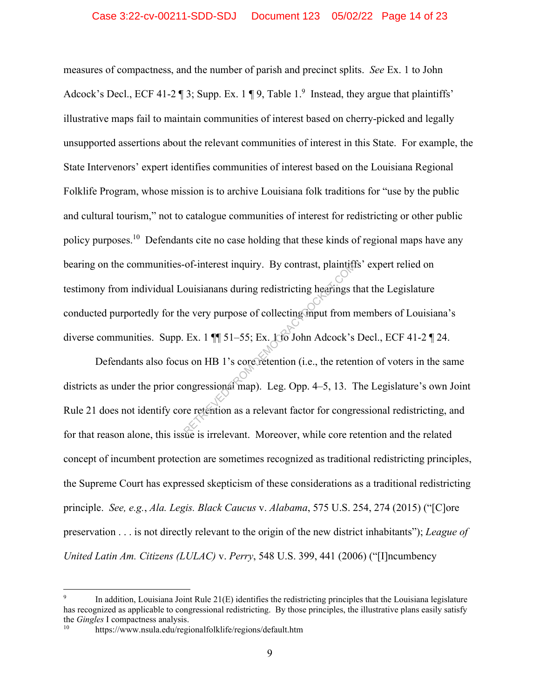measures of compactness, and the number of parish and precinct splits. *See* Ex. 1 to John Adcock's Decl., ECF 41-2  $\P$  3; Supp. Ex. 1  $\P$  9, Table 1.<sup>9</sup> Instead, they argue that plaintiffs' illustrative maps fail to maintain communities of interest based on cherry-picked and legally unsupported assertions about the relevant communities of interest in this State. For example, the State Intervenors' expert identifies communities of interest based on the Louisiana Regional Folklife Program, whose mission is to archive Louisiana folk traditions for "use by the public and cultural tourism," not to catalogue communities of interest for redistricting or other public policy purposes.<sup>10</sup> Defendants cite no case holding that these kinds of regional maps have any bearing on the communities-of-interest inquiry. By contrast, plaintiffs' expert relied on testimony from individual Louisianans during redistricting hearings that the Legislature conducted purportedly for the very purpose of collecting input from members of Louisiana's diverse communities. Supp. Ex. 1  $\P$  51–55; Ex. 1 to John Adcock's Decl., ECF 41-2  $\P$  24. ouisianans during redistricting hearings to<br>
every purpose of collecting mput from r<br>
Ex. 1 || 51–55; Ex. 1 to John Adcock's<br>
son HB 1's core retention (i.e., the retention songressional map). Leg. Opp. 4–5, 13. 1<br>
re rete

Defendants also focus on HB 1's core retention (i.e., the retention of voters in the same districts as under the prior congressional map). Leg. Opp. 4–5, 13. The Legislature's own Joint Rule 21 does not identify core retention as a relevant factor for congressional redistricting, and for that reason alone, this issue is irrelevant. Moreover, while core retention and the related concept of incumbent protection are sometimes recognized as traditional redistricting principles, the Supreme Court has expressed skepticism of these considerations as a traditional redistricting principle. *See, e.g.*, *Ala. Legis. Black Caucus* v. *Alabama*, 575 U.S. 254, 274 (2015) ("[C]ore preservation . . . is not directly relevant to the origin of the new district inhabitants"); *League of United Latin Am. Citizens (LULAC)* v. *Perry*, 548 U.S. 399, 441 (2006) ("[I]ncumbency

<sup>9</sup> In addition, Louisiana Joint Rule 21(E) identifies the redistricting principles that the Louisiana legislature has recognized as applicable to congressional redistricting. By those principles, the illustrative plans easily satisfy the *Gingles* I compactness analysis.<br><sup>10</sup> https://www.nsula.edu/regionalfolklife/regions/default.htm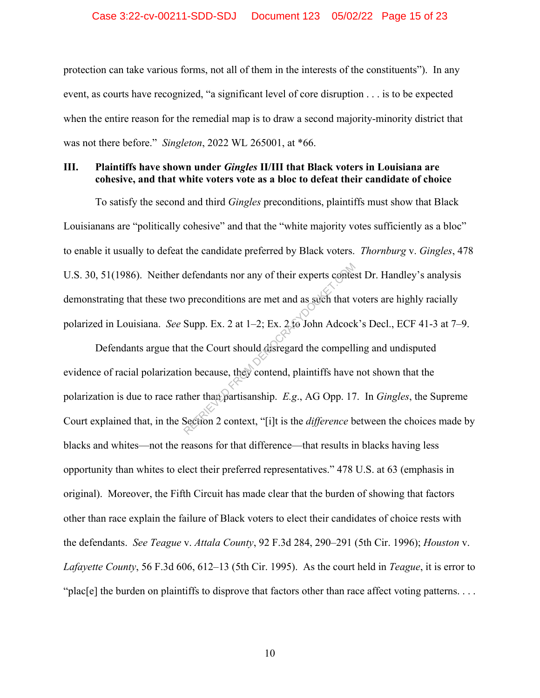#### Case 3:22-cv-00211-SDD-SDJ Document 123 05/02/22 Page 15 of 23

protection can take various forms, not all of them in the interests of the constituents"). In any event, as courts have recognized, "a significant level of core disruption . . . is to be expected when the entire reason for the remedial map is to draw a second majority-minority district that was not there before." *Singleton*, 2022 WL 265001, at \*66.

## **III. Plaintiffs have shown under** *Gingles* **II/III that Black voters in Louisiana are cohesive, and that white voters vote as a bloc to defeat their candidate of choice**

To satisfy the second and third *Gingles* preconditions, plaintiffs must show that Black Louisianans are "politically cohesive" and that the "white majority votes sufficiently as a bloc" to enable it usually to defeat the candidate preferred by Black voters. *Thornburg* v. *Gingles*, 478 U.S. 30, 51(1986). Neither defendants nor any of their experts contest Dr. Handley's analysis demonstrating that these two preconditions are met and as such that voters are highly racially polarized in Louisiana. *See* Supp. Ex. 2 at 1–2; Ex. 2 to John Adcock's Decl., ECF 41-3 at 7–9.

Defendants argue that the Court should disregard the compelling and undisputed evidence of racial polarization because, they contend, plaintiffs have not shown that the polarization is due to race rather than partisanship. *E.g*., AG Opp. 17. In *Gingles*, the Supreme Court explained that, in the Section 2 context, "[i]t is the *difference* between the choices made by blacks and whites—not the reasons for that difference—that results in blacks having less opportunity than whites to elect their preferred representatives." 478 U.S. at 63 (emphasis in original). Moreover, the Fifth Circuit has made clear that the burden of showing that factors other than race explain the failure of Black voters to elect their candidates of choice rests with the defendants. *See Teague* v. *Attala County*, 92 F.3d 284, 290–291 (5th Cir. 1996); *Houston* v. *Lafayette County*, 56 F.3d 606, 612–13 (5th Cir. 1995). As the court held in *Teague*, it is error to "plac[e] the burden on plaintiffs to disprove that factors other than race affect voting patterns. . . . defendants nor any of their experts context<br>oppreconditions are met and as such that v<br>Supp. Ex. 2 at 1–2; Ex. 2 to John Adcock<br>at the Court should disregard the compell<br>on because, they contend, plaintiffs have<br>ther than

10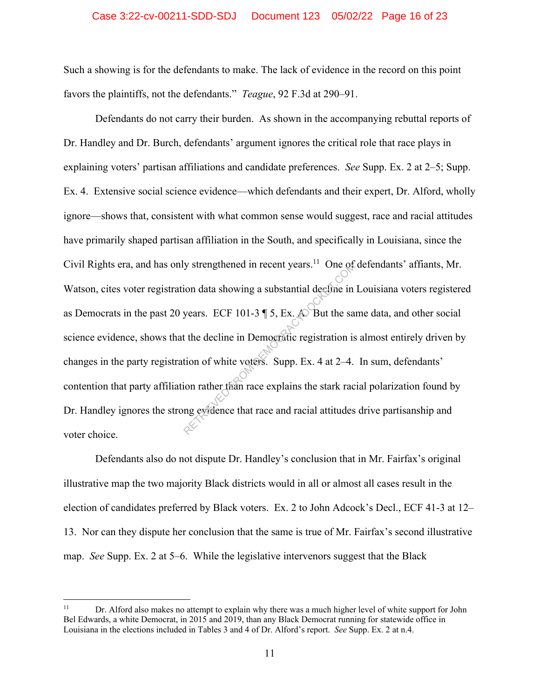#### Case 3:22-cv-00211-SDD-SDJ Document 123 05/02/22 Page 16 of 23

Such a showing is for the defendants to make. The lack of evidence in the record on this point favors the plaintiffs, not the defendants." *Teague*, 92 F.3d at 290–91.

Defendants do not carry their burden. As shown in the accompanying rebuttal reports of Dr. Handley and Dr. Burch, defendants' argument ignores the critical role that race plays in explaining voters' partisan affiliations and candidate preferences. *See* Supp. Ex. 2 at 2–5; Supp. Ex. 4. Extensive social science evidence—which defendants and their expert, Dr. Alford, wholly ignore—shows that, consistent with what common sense would suggest, race and racial attitudes have primarily shaped partisan affiliation in the South, and specifically in Louisiana, since the Civil Rights era, and has only strengthened in recent years.<sup>11</sup> One of defendants' affiants, Mr. Watson, cites voter registration data showing a substantial decline in Louisiana voters registered as Democrats in the past 20 years. ECF 101-3  $\P$  5, Ex.  $\triangle$  But the same data, and other social science evidence, shows that the decline in Democratic registration is almost entirely driven by changes in the party registration of white voters. Supp. Ex. 4 at 2–4. In sum, defendants' contention that party affiliation rather than race explains the stark racial polarization found by Dr. Handley ignores the strong evidence that race and racial attitudes drive partisanship and voter choice. y strengthened in recent years.<sup>11</sup> One of<br>ion data showing a substantial decline in<br>years. ECF 101-3  $\parallel$  5, Ex. A But the sa<br>t the decline in Democratic registration is<br>tion of white voters. Supp. Ex. 4 at 2-4.<br>ion rath

Defendants also do not dispute Dr. Handley's conclusion that in Mr. Fairfax's original illustrative map the two majority Black districts would in all or almost all cases result in the election of candidates preferred by Black voters. Ex. 2 to John Adcock's Decl., ECF 41-3 at 12– 13. Nor can they dispute her conclusion that the same is true of Mr. Fairfax's second illustrative map. *See* Supp. Ex. 2 at 5–6. While the legislative intervenors suggest that the Black

<sup>&</sup>lt;sup>11</sup> Dr. Alford also makes no attempt to explain why there was a much higher level of white support for John Bel Edwards, a white Democrat, in 2015 and 2019, than any Black Democrat running for statewide office in Louisiana in the elections included in Tables 3 and 4 of Dr. Alford's report. *See* Supp. Ex. 2 at n.4.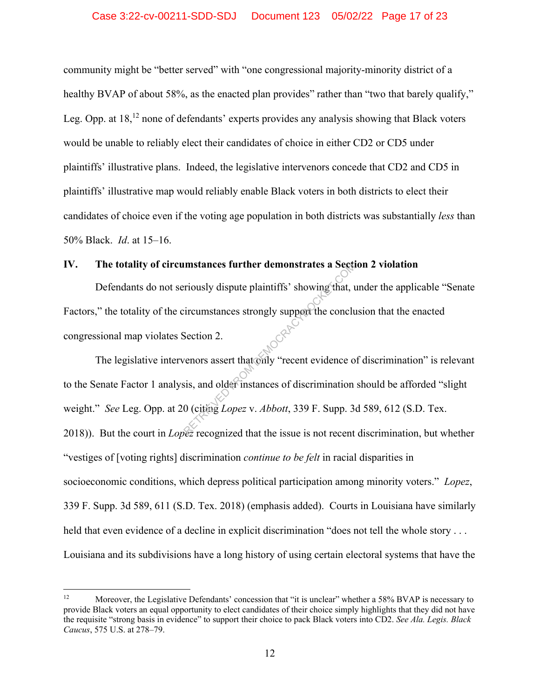## Case 3:22-cv-00211-SDD-SDJ Document 123 05/02/22 Page 17 of 23

community might be "better served" with "one congressional majority-minority district of a healthy BVAP of about 58%, as the enacted plan provides" rather than "two that barely qualify," Leg. Opp. at  $18<sup>12</sup>$  none of defendants' experts provides any analysis showing that Black voters would be unable to reliably elect their candidates of choice in either CD2 or CD5 under plaintiffs' illustrative plans. Indeed, the legislative intervenors concede that CD2 and CD5 in plaintiffs' illustrative map would reliably enable Black voters in both districts to elect their candidates of choice even if the voting age population in both districts was substantially *less* than 50% Black. *Id*. at 15–16.

## **IV. The totality of circumstances further demonstrates a Section 2 violation**

Defendants do not seriously dispute plaintiffs' showing that, under the applicable "Senate Factors," the totality of the circumstances strongly support the conclusion that the enacted congressional map violates Section 2.

The legislative intervenors assert that only "recent evidence of discrimination" is relevant to the Senate Factor 1 analysis, and older instances of discrimination should be afforded "slight weight." *See* Leg. Opp. at 20 (citing *Lopez* v. *Abbott*, 339 F. Supp. 3d 589, 612 (S.D. Tex. 2018)). But the court in *Lopez* recognized that the issue is not recent discrimination, but whether "vestiges of [voting rights] discrimination *continue to be felt* in racial disparities in socioeconomic conditions, which depress political participation among minority voters." *Lopez*, 339 F. Supp. 3d 589, 611 (S.D. Tex. 2018) (emphasis added). Courts in Louisiana have similarly held that even evidence of a decline in explicit discrimination "does not tell the whole story . . . Louisiana and its subdivisions have a long history of using certain electoral systems that have the Instances further demonstrates a Section<br>
Friously dispute plaintiffs' showing that, it<br>
direction 2.<br>
Section 2.<br>
Persons assert that only "recent evidence of<br>
sis, and older instances of discrimination<br>
0 (citing *Lopez* 

<sup>&</sup>lt;sup>12</sup> Moreover, the Legislative Defendants' concession that "it is unclear" whether a 58% BVAP is necessary to provide Black voters an equal opportunity to elect candidates of their choice simply highlights that they did not have the requisite "strong basis in evidence" to support their choice to pack Black voters into CD2. *See Ala. Legis. Black Caucus*, 575 U.S. at 278–79.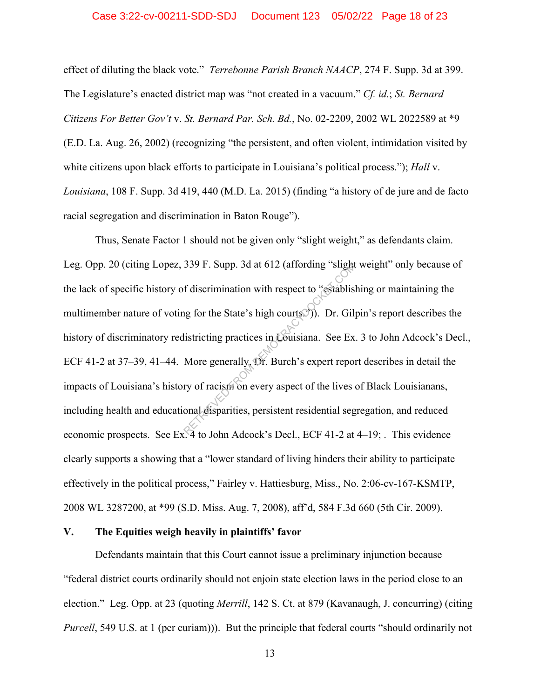#### Case 3:22-cv-00211-SDD-SDJ Document 123 05/02/22 Page 18 of 23

effect of diluting the black vote." *Terrebonne Parish Branch NAACP*, 274 F. Supp. 3d at 399. The Legislature's enacted district map was "not created in a vacuum." *Cf. id.*; *St. Bernard Citizens For Better Gov't* v. *St. Bernard Par. Sch. Bd.*, No. 02-2209, 2002 WL 2022589 at \*9 (E.D. La. Aug. 26, 2002) (recognizing "the persistent, and often violent, intimidation visited by white citizens upon black efforts to participate in Louisiana's political process."); *Hall* v. *Louisiana*, 108 F. Supp. 3d 419, 440 (M.D. La. 2015) (finding "a history of de jure and de facto racial segregation and discrimination in Baton Rouge").

Thus, Senate Factor 1 should not be given only "slight weight," as defendants claim. Leg. Opp. 20 (citing Lopez, 339 F. Supp. 3d at 612 (affording "slight weight" only because of the lack of specific history of discrimination with respect to "establishing or maintaining the multimember nature of voting for the State's high courts.")). Dr. Gilpin's report describes the history of discriminatory redistricting practices in Louisiana. See Ex. 3 to John Adcock's Decl., ECF 41-2 at 37–39, 41–44. More generally, Dr. Burch's expert report describes in detail the impacts of Louisiana's history of racism on every aspect of the lives of Black Louisianans, including health and educational disparities, persistent residential segregation, and reduced economic prospects. See Ex. 4 to John Adcock's Decl., ECF 41-2 at 4–19; . This evidence clearly supports a showing that a "lower standard of living hinders their ability to participate effectively in the political process," Fairley v. Hattiesburg, Miss., No. 2:06-cv-167-KSMTP, 2008 WL 3287200, at \*99 (S.D. Miss. Aug. 7, 2008), aff'd, 584 F.3d 660 (5th Cir. 2009). 339 F. Supp. 3d at 612 (affording "slight<br>
f discrimination with respect to "establistically<br>
listricting practices in Couisiana. See Ex<br>
More generally, Dr. Burch's expert report<br>
ry of racism on every aspect of the lives

#### **V. The Equities weigh heavily in plaintiffs' favor**

Defendants maintain that this Court cannot issue a preliminary injunction because "federal district courts ordinarily should not enjoin state election laws in the period close to an election." Leg. Opp. at 23 (quoting *Merrill*, 142 S. Ct. at 879 (Kavanaugh, J. concurring) (citing *Purcell*, 549 U.S. at 1 (per curiam)). But the principle that federal courts "should ordinarily not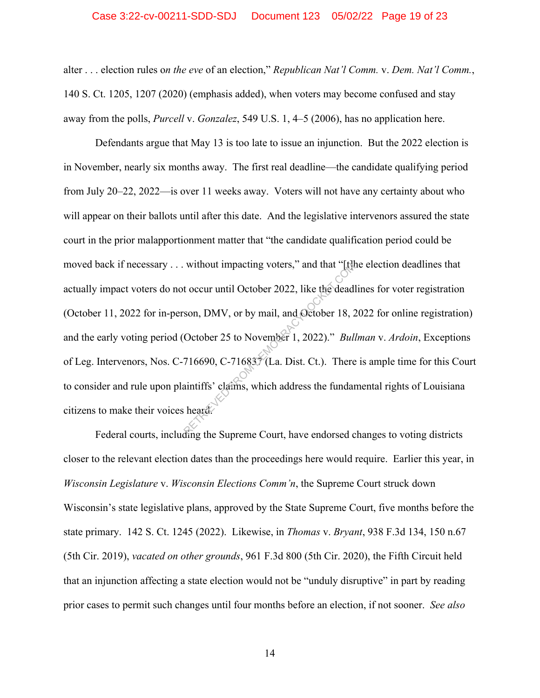#### Case 3:22-cv-00211-SDD-SDJ Document 123 05/02/22 Page 19 of 23

alter . . . election rules o*n the eve* of an election," *Republican Nat'l Comm.* v. *Dem. Nat'l Comm.*, 140 S. Ct. 1205, 1207 (2020) (emphasis added), when voters may become confused and stay away from the polls, *Purcell* v. *Gonzalez*, 549 U.S. 1, 4–5 (2006), has no application here.

Defendants argue that May 13 is too late to issue an injunction. But the 2022 election is in November, nearly six months away. The first real deadline—the candidate qualifying period from July 20–22, 2022—is over 11 weeks away. Voters will not have any certainty about who will appear on their ballots until after this date. And the legislative intervenors assured the state court in the prior malapportionment matter that "the candidate qualification period could be moved back if necessary . . . without impacting voters," and that "[t]he election deadlines that actually impact voters do not occur until October 2022, like the deadlines for voter registration (October 11, 2022 for in-person, DMV, or by mail, and October 18, 2022 for online registration) and the early voting period (October 25 to November 1, 2022)." *Bullman* v. *Ardoin*, Exceptions of Leg. Intervenors, Nos. C-716690, C-716837 (La. Dist. Ct.). There is ample time for this Court to consider and rule upon plaintiffs' claims, which address the fundamental rights of Louisiana citizens to make their voices heard. without impacting voters," and that "[t]<br>t occur until October 2022, like the deadl<br>son, DMV, or by mail, and October 18, 2<br>October 25 to November 1, 2022)." *Bull*<br>716690, C-716837 (La. Dist. Ct.). There<br>aintiffs' claims,

Federal courts, including the Supreme Court, have endorsed changes to voting districts closer to the relevant election dates than the proceedings here would require. Earlier this year, in *Wisconsin Legislature* v. *Wisconsin Elections Comm'n*, the Supreme Court struck down Wisconsin's state legislative plans, approved by the State Supreme Court, five months before the state primary. 142 S. Ct. 1245 (2022). Likewise, in *Thomas* v. *Bryant*, 938 F.3d 134, 150 n.67 (5th Cir. 2019), *vacated on other grounds*, 961 F.3d 800 (5th Cir. 2020), the Fifth Circuit held that an injunction affecting a state election would not be "unduly disruptive" in part by reading prior cases to permit such changes until four months before an election, if not sooner. *See also*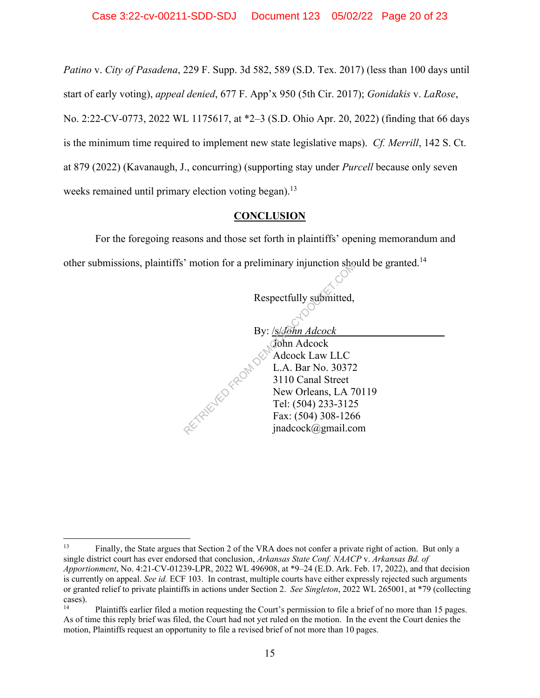*Patino* v. *City of Pasadena*, 229 F. Supp. 3d 582, 589 (S.D. Tex. 2017) (less than 100 days until start of early voting), *appeal denied*, 677 F. App'x 950 (5th Cir. 2017); *Gonidakis* v. *LaRose*, No. 2:22-CV-0773, 2022 WL 1175617, at \*2–3 (S.D. Ohio Apr. 20, 2022) (finding that 66 days is the minimum time required to implement new state legislative maps). *Cf. Merrill*, 142 S. Ct. at 879 (2022) (Kavanaugh, J., concurring) (supporting stay under *Purcell* because only seven weeks remained until primary election voting began).<sup>13</sup>

## **CONCLUSION**

For the foregoing reasons and those set forth in plaintiffs' opening memorandum and other submissions, plaintiffs' motion for a preliminary injunction should be granted.<sup>14</sup>

Respectfully submitted,

By: /s/*John Adcock* John Adcock Adcock Law LLC L.A. Bar No. 30372 3110 Canal Street New Orleans, LA 70119 Tel: (504) 233-3125 Fax: (504) 308-1266 jnadcock@gmail.com RETRIEVED FROM DES

<sup>13</sup> Finally, the State argues that Section 2 of the VRA does not confer a private right of action. But only a single district court has ever endorsed that conclusion, *Arkansas State Conf. NAACP* v. *Arkansas Bd. of Apportionment*, No. 4:21-CV-01239-LPR, 2022 WL 496908, at \*9–24 (E.D. Ark. Feb. 17, 2022), and that decision is currently on appeal. *See id.* ECF 103. In contrast, multiple courts have either expressly rejected such arguments or granted relief to private plaintiffs in actions under Section 2. *See Singleton*, 2022 WL 265001, at \*79 (collecting cases).

<sup>14</sup> Plaintiffs earlier filed a motion requesting the Court's permission to file a brief of no more than 15 pages. As of time this reply brief was filed, the Court had not yet ruled on the motion. In the event the Court denies the motion, Plaintiffs request an opportunity to file a revised brief of not more than 10 pages.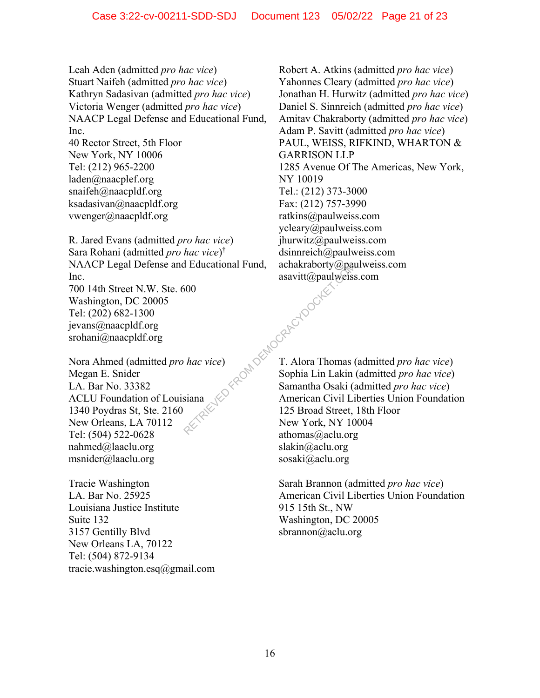Leah Aden (admitted *pro hac vice*) Stuart Naifeh (admitted *pro hac vice*) Kathryn Sadasivan (admitted *pro hac vice*) Victoria Wenger (admitted *pro hac vice*) NAACP Legal Defense and Educational Fund, Inc. 40 Rector Street, 5th Floor New York, NY 10006

Tel: (212) 965-2200 laden@naacplef.org snaifeh@naacpldf.org ksadasivan@naacpldf.org vwenger@naacpldf.org

R. Jared Evans (admitted *pro hac vice*) Sara Rohani (admitted *pro hac vice*) † NAACP Legal Defense and Educational Fund, Inc. 700 14th Street N.W. Ste. 600 Washington, DC 20005 Tel: (202) 682-1300 jevans@naacpldf.org srohani@naacpldf.org Pau Acceptocket Docket

Nora Ahmed (admitted *pro hac vice*) Megan E. Snider LA. Bar No. 33382 ACLU Foundation of Louisiana 1340 Poydras St, Ste. 2160 New Orleans, LA 70112 Tel: (504) 522-0628 nahmed@laaclu.org msnider@laaclu.org

Tracie Washington LA. Bar No. 25925 Louisiana Justice Institute Suite 132 3157 Gentilly Blvd New Orleans LA, 70122 Tel: (504) 872-9134 tracie.washington.esq@gmail.com Robert A. Atkins (admitted *pro hac vice*) Yahonnes Cleary (admitted *pro hac vice*) Jonathan H. Hurwitz (admitted *pro hac vice*) Daniel S. Sinnreich (admitted *pro hac vice*) Amitav Chakraborty (admitted *pro hac vice*) Adam P. Savitt (admitted *pro hac vice*) PAUL, WEISS, RIFKIND, WHARTON & GARRISON LLP 1285 Avenue Of The Americas, New York, NY 10019 Tel.: (212) 373-3000 Fax: (212) 757-3990 ratkins@paulweiss.com ycleary@paulweiss.com jhurwitz@paulweiss.com dsinnreich@paulweiss.com achakraborty@paulweiss.com asavitt@paulweiss.com

T. Alora Thomas (admitted *pro hac vice*) Sophia Lin Lakin (admitted *pro hac vice*) Samantha Osaki (admitted *pro hac vice*) American Civil Liberties Union Foundation 125 Broad Street, 18th Floor New York, NY 10004 athomas@aclu.org slakin@aclu.org sosaki@aclu.org

Sarah Brannon (admitted *pro hac vice*) American Civil Liberties Union Foundation 915 15th St., NW Washington, DC 20005 sbrannon@aclu.org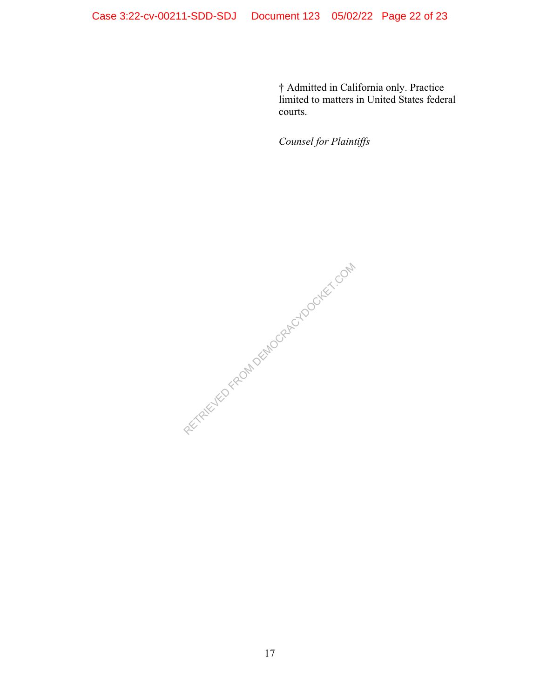† Admitted in California only. Practice limited to matters in United States federal courts.

*Counsel for Plaintiffs* 

RETRIEVED FROM DEMOCRACYDOCKET.COM